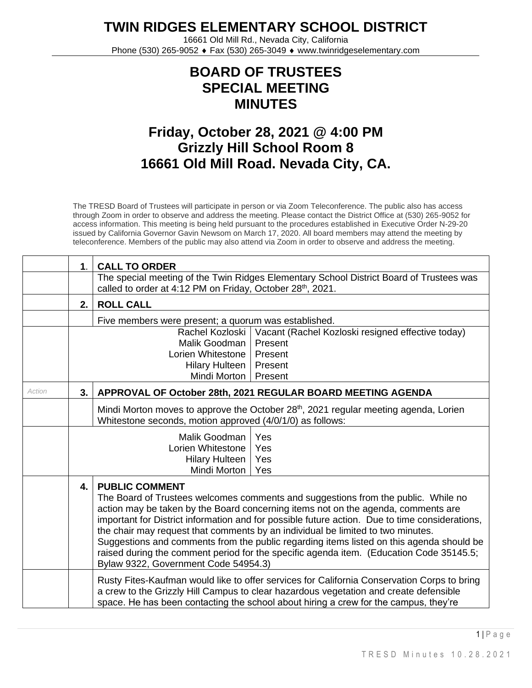**TWIN RIDGES ELEMENTARY SCHOOL DISTRICT**

16661 Old Mill Rd., Nevada City, California Phone (530) 265-9052 ♦ Fax (530) 265-3049 ♦ www.twinridgeselementary.com

## **BOARD OF TRUSTEES SPECIAL MEETING MINUTES**

## **Friday, October 28, 2021 @ 4:00 PM Grizzly Hill School Room 8 16661 Old Mill Road. Nevada City, CA.**

The TRESD Board of Trustees will participate in person or via Zoom Teleconference. The public also has access through Zoom in order to observe and address the meeting. Please contact the District Office at (530) 265-9052 for access information. This meeting is being held pursuant to the procedures established in Executive Order N-29-20 issued by California Governor Gavin Newsom on March 17, 2020. All board members may attend the meeting by teleconference. Members of the public may also attend via Zoom in order to observe and address the meeting.

|               | 1.                                                                                                                                                                   | <b>CALL TO ORDER</b>                                                                                                                                                                                                                                                                                                                                                                                                                                                                                                                                                                                                |  |  |  |  |
|---------------|----------------------------------------------------------------------------------------------------------------------------------------------------------------------|---------------------------------------------------------------------------------------------------------------------------------------------------------------------------------------------------------------------------------------------------------------------------------------------------------------------------------------------------------------------------------------------------------------------------------------------------------------------------------------------------------------------------------------------------------------------------------------------------------------------|--|--|--|--|
|               |                                                                                                                                                                      | The special meeting of the Twin Ridges Elementary School District Board of Trustees was<br>called to order at 4:12 PM on Friday, October 28 <sup>th</sup> , 2021.                                                                                                                                                                                                                                                                                                                                                                                                                                                   |  |  |  |  |
|               | 2.                                                                                                                                                                   | <b>ROLL CALL</b>                                                                                                                                                                                                                                                                                                                                                                                                                                                                                                                                                                                                    |  |  |  |  |
|               |                                                                                                                                                                      | Five members were present; a quorum was established.                                                                                                                                                                                                                                                                                                                                                                                                                                                                                                                                                                |  |  |  |  |
|               | Rachel Kozloski<br>Vacant (Rachel Kozloski resigned effective today)<br>Malik Goodman<br>Present<br>Lorien Whitestone<br>Present<br><b>Hilary Hulteen</b><br>Present |                                                                                                                                                                                                                                                                                                                                                                                                                                                                                                                                                                                                                     |  |  |  |  |
|               | Mindi Morton  <br>Present                                                                                                                                            |                                                                                                                                                                                                                                                                                                                                                                                                                                                                                                                                                                                                                     |  |  |  |  |
| <b>Action</b> | 3.                                                                                                                                                                   | APPROVAL OF October 28th, 2021 REGULAR BOARD MEETING AGENDA                                                                                                                                                                                                                                                                                                                                                                                                                                                                                                                                                         |  |  |  |  |
|               |                                                                                                                                                                      | Mindi Morton moves to approve the October 28 <sup>th</sup> , 2021 regular meeting agenda, Lorien<br>Whitestone seconds, motion approved (4/0/1/0) as follows:                                                                                                                                                                                                                                                                                                                                                                                                                                                       |  |  |  |  |
|               | Malik Goodman<br>Yes<br>Lorien Whitestone<br>Yes<br><b>Hilary Hulteen</b><br>Yes<br>Mindi Morton<br>Yes                                                              |                                                                                                                                                                                                                                                                                                                                                                                                                                                                                                                                                                                                                     |  |  |  |  |
|               | 4.                                                                                                                                                                   | <b>PUBLIC COMMENT</b><br>The Board of Trustees welcomes comments and suggestions from the public. While no<br>action may be taken by the Board concerning items not on the agenda, comments are<br>important for District information and for possible future action. Due to time considerations,<br>the chair may request that comments by an individual be limited to two minutes.<br>Suggestions and comments from the public regarding items listed on this agenda should be<br>raised during the comment period for the specific agenda item. (Education Code 35145.5;<br>Bylaw 9322, Government Code 54954.3) |  |  |  |  |
|               |                                                                                                                                                                      | Rusty Fites-Kaufman would like to offer services for California Conservation Corps to bring<br>a crew to the Grizzly Hill Campus to clear hazardous vegetation and create defensible<br>space. He has been contacting the school about hiring a crew for the campus, they're                                                                                                                                                                                                                                                                                                                                        |  |  |  |  |

 $1 \mid P$  a g e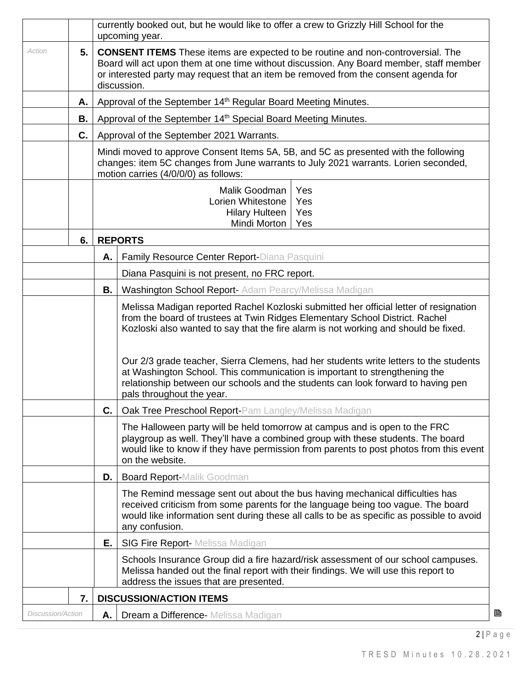|                                         |      | currently booked out, but he would like to offer a crew to Grizzly Hill School for the<br>upcoming year.                                                                                                                                                                                |                                                                                                                                                                                                                                                                                                                                                                                                                                                                                                                                                      |  |  |  |  |
|-----------------------------------------|------|-----------------------------------------------------------------------------------------------------------------------------------------------------------------------------------------------------------------------------------------------------------------------------------------|------------------------------------------------------------------------------------------------------------------------------------------------------------------------------------------------------------------------------------------------------------------------------------------------------------------------------------------------------------------------------------------------------------------------------------------------------------------------------------------------------------------------------------------------------|--|--|--|--|
| Action                                  | 5.1  | <b>CONSENT ITEMS</b> These items are expected to be routine and non-controversial. The<br>Board will act upon them at one time without discussion. Any Board member, staff member<br>or interested party may request that an item be removed from the consent agenda for<br>discussion. |                                                                                                                                                                                                                                                                                                                                                                                                                                                                                                                                                      |  |  |  |  |
|                                         | A. I |                                                                                                                                                                                                                                                                                         | Approval of the September 14 <sup>th</sup> Regular Board Meeting Minutes.                                                                                                                                                                                                                                                                                                                                                                                                                                                                            |  |  |  |  |
|                                         | В.   |                                                                                                                                                                                                                                                                                         | Approval of the September 14 <sup>th</sup> Special Board Meeting Minutes.                                                                                                                                                                                                                                                                                                                                                                                                                                                                            |  |  |  |  |
|                                         | C.   |                                                                                                                                                                                                                                                                                         | Approval of the September 2021 Warrants.                                                                                                                                                                                                                                                                                                                                                                                                                                                                                                             |  |  |  |  |
|                                         |      |                                                                                                                                                                                                                                                                                         | Mindi moved to approve Consent Items 5A, 5B, and 5C as presented with the following<br>changes: item 5C changes from June warrants to July 2021 warrants. Lorien seconded,<br>motion carries (4/0/0/0) as follows:                                                                                                                                                                                                                                                                                                                                   |  |  |  |  |
|                                         |      |                                                                                                                                                                                                                                                                                         | Yes<br>Malik Goodman<br>Lorien Whitestone<br>Yes<br><b>Hilary Hulteen</b><br>Yes<br>Mindi Morton<br>Yes                                                                                                                                                                                                                                                                                                                                                                                                                                              |  |  |  |  |
|                                         | 6.   |                                                                                                                                                                                                                                                                                         | <b>REPORTS</b>                                                                                                                                                                                                                                                                                                                                                                                                                                                                                                                                       |  |  |  |  |
|                                         |      | А.                                                                                                                                                                                                                                                                                      | Family Resource Center Report-Diana Pasquini                                                                                                                                                                                                                                                                                                                                                                                                                                                                                                         |  |  |  |  |
|                                         |      |                                                                                                                                                                                                                                                                                         | Diana Pasquini is not present, no FRC report.                                                                                                                                                                                                                                                                                                                                                                                                                                                                                                        |  |  |  |  |
|                                         |      | В.                                                                                                                                                                                                                                                                                      | Washington School Report- Adam Pearcy/Melissa Madigan                                                                                                                                                                                                                                                                                                                                                                                                                                                                                                |  |  |  |  |
|                                         |      |                                                                                                                                                                                                                                                                                         | Melissa Madigan reported Rachel Kozloski submitted her official letter of resignation<br>from the board of trustees at Twin Ridges Elementary School District. Rachel<br>Kozloski also wanted to say that the fire alarm is not working and should be fixed.<br>Our 2/3 grade teacher, Sierra Clemens, had her students write letters to the students<br>at Washington School. This communication is important to strengthening the<br>relationship between our schools and the students can look forward to having pen<br>pals throughout the year. |  |  |  |  |
|                                         |      | С.                                                                                                                                                                                                                                                                                      | <b>Oak Tree Preschool Report-Pam Langley/Melissa Madigan</b>                                                                                                                                                                                                                                                                                                                                                                                                                                                                                         |  |  |  |  |
|                                         |      |                                                                                                                                                                                                                                                                                         | The Halloween party will be held tomorrow at campus and is open to the FRC<br>playgroup as well. They'll have a combined group with these students. The board<br>would like to know if they have permission from parents to post photos from this event<br>on the website.                                                                                                                                                                                                                                                                           |  |  |  |  |
| <b>Board Report-Malik Goodman</b><br>D. |      |                                                                                                                                                                                                                                                                                         |                                                                                                                                                                                                                                                                                                                                                                                                                                                                                                                                                      |  |  |  |  |
|                                         |      |                                                                                                                                                                                                                                                                                         | The Remind message sent out about the bus having mechanical difficulties has<br>received criticism from some parents for the language being too vague. The board<br>would like information sent during these all calls to be as specific as possible to avoid<br>any confusion.                                                                                                                                                                                                                                                                      |  |  |  |  |
|                                         |      | Е.                                                                                                                                                                                                                                                                                      | <b>SIG Fire Report-</b> Melissa Madigan                                                                                                                                                                                                                                                                                                                                                                                                                                                                                                              |  |  |  |  |
|                                         |      |                                                                                                                                                                                                                                                                                         | Schools Insurance Group did a fire hazard/risk assessment of our school campuses.<br>Melissa handed out the final report with their findings. We will use this report to<br>address the issues that are presented.                                                                                                                                                                                                                                                                                                                                   |  |  |  |  |
|                                         | 7.   |                                                                                                                                                                                                                                                                                         | <b>DISCUSSION/ACTION ITEMS</b>                                                                                                                                                                                                                                                                                                                                                                                                                                                                                                                       |  |  |  |  |
| Discussion/Action                       |      | A. I                                                                                                                                                                                                                                                                                    | <b>Dream a Difference-</b> Melissa Madigan                                                                                                                                                                                                                                                                                                                                                                                                                                                                                                           |  |  |  |  |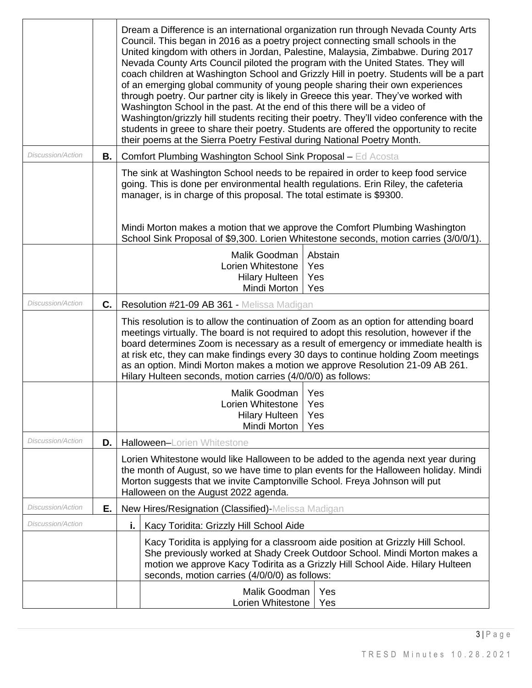|                          |    | Dream a Difference is an international organization run through Nevada County Arts<br>Council. This began in 2016 as a poetry project connecting small schools in the<br>United kingdom with others in Jordan, Palestine, Malaysia, Zimbabwe. During 2017<br>Nevada County Arts Council piloted the program with the United States. They will<br>coach children at Washington School and Grizzly Hill in poetry. Students will be a part<br>of an emerging global community of young people sharing their own experiences<br>through poetry. Our partner city is likely in Greece this year. They've worked with<br>Washington School in the past. At the end of this there will be a video of<br>Washington/grizzly hill students reciting their poetry. They'll video conference with the<br>students in greee to share their poetry. Students are offered the opportunity to recite<br>their poems at the Sierra Poetry Festival during National Poetry Month. |
|--------------------------|----|-------------------------------------------------------------------------------------------------------------------------------------------------------------------------------------------------------------------------------------------------------------------------------------------------------------------------------------------------------------------------------------------------------------------------------------------------------------------------------------------------------------------------------------------------------------------------------------------------------------------------------------------------------------------------------------------------------------------------------------------------------------------------------------------------------------------------------------------------------------------------------------------------------------------------------------------------------------------|
| <b>Discussion/Action</b> | В. | <b>Comfort Plumbing Washington School Sink Proposal - Ed Acosta</b>                                                                                                                                                                                                                                                                                                                                                                                                                                                                                                                                                                                                                                                                                                                                                                                                                                                                                               |
|                          |    | The sink at Washington School needs to be repaired in order to keep food service<br>going. This is done per environmental health regulations. Erin Riley, the cafeteria<br>manager, is in charge of this proposal. The total estimate is \$9300.<br>Mindi Morton makes a motion that we approve the Comfort Plumbing Washington<br>School Sink Proposal of \$9,300. Lorien Whitestone seconds, motion carries (3/0/0/1).                                                                                                                                                                                                                                                                                                                                                                                                                                                                                                                                          |
|                          |    | Malik Goodman<br>Abstain                                                                                                                                                                                                                                                                                                                                                                                                                                                                                                                                                                                                                                                                                                                                                                                                                                                                                                                                          |
|                          |    | Yes<br>Lorien Whitestone                                                                                                                                                                                                                                                                                                                                                                                                                                                                                                                                                                                                                                                                                                                                                                                                                                                                                                                                          |
|                          |    | Yes<br><b>Hilary Hulteen</b><br>Mindi Morton<br>Yes                                                                                                                                                                                                                                                                                                                                                                                                                                                                                                                                                                                                                                                                                                                                                                                                                                                                                                               |
| Discussion/Action        | C. | Resolution #21-09 AB 361 - Melissa Madigan                                                                                                                                                                                                                                                                                                                                                                                                                                                                                                                                                                                                                                                                                                                                                                                                                                                                                                                        |
|                          |    | This resolution is to allow the continuation of Zoom as an option for attending board<br>meetings virtually. The board is not required to adopt this resolution, however if the<br>board determines Zoom is necessary as a result of emergency or immediate health is<br>at risk etc, they can make findings every 30 days to continue holding Zoom meetings<br>as an option. Mindi Morton makes a motion we approve Resolution 21-09 AB 261.<br>Hilary Hulteen seconds, motion carries (4/0/0/0) as follows:                                                                                                                                                                                                                                                                                                                                                                                                                                                     |
|                          |    | Malik Goodman<br>Yes<br>Lorien Whitestone<br>Yes<br><b>Hilary Hulteen</b><br>Yes<br>Mindi Morton<br>Yes                                                                                                                                                                                                                                                                                                                                                                                                                                                                                                                                                                                                                                                                                                                                                                                                                                                           |
| <i>Discussion/Action</i> | D. | Halloween-Lorien Whitestone                                                                                                                                                                                                                                                                                                                                                                                                                                                                                                                                                                                                                                                                                                                                                                                                                                                                                                                                       |
|                          |    | Lorien Whitestone would like Halloween to be added to the agenda next year during<br>the month of August, so we have time to plan events for the Halloween holiday. Mindi<br>Morton suggests that we invite Camptonville School. Freya Johnson will put<br>Halloween on the August 2022 agenda.                                                                                                                                                                                                                                                                                                                                                                                                                                                                                                                                                                                                                                                                   |
| Discussion/Action        | Е. | New Hires/Resignation (Classified)-Melissa Madigan                                                                                                                                                                                                                                                                                                                                                                                                                                                                                                                                                                                                                                                                                                                                                                                                                                                                                                                |
| <b>Discussion/Action</b> |    | i.<br>Kacy Toridita: Grizzly Hill School Aide                                                                                                                                                                                                                                                                                                                                                                                                                                                                                                                                                                                                                                                                                                                                                                                                                                                                                                                     |
|                          |    | Kacy Toridita is applying for a classroom aide position at Grizzly Hill School.<br>She previously worked at Shady Creek Outdoor School. Mindi Morton makes a<br>motion we approve Kacy Todirita as a Grizzly Hill School Aide. Hilary Hulteen<br>seconds, motion carries (4/0/0/0) as follows:                                                                                                                                                                                                                                                                                                                                                                                                                                                                                                                                                                                                                                                                    |
|                          |    | Malik Goodman<br>Yes<br>Lorien Whitestone<br>Yes                                                                                                                                                                                                                                                                                                                                                                                                                                                                                                                                                                                                                                                                                                                                                                                                                                                                                                                  |

 $3 | P a g e$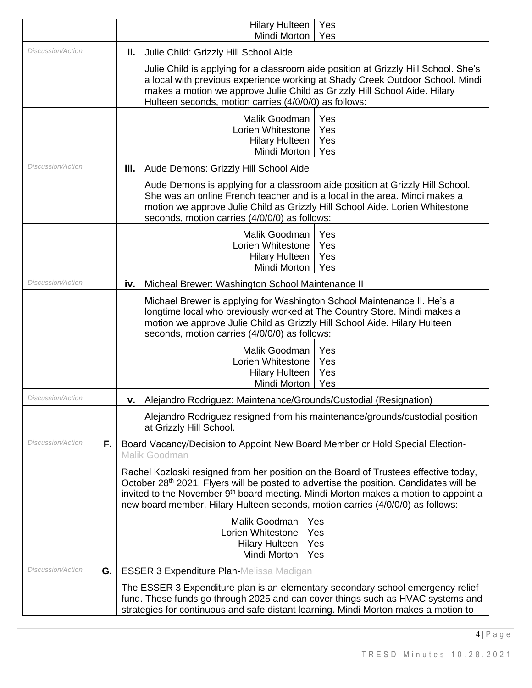|                          |    |      | <b>Hilary Hulteen</b><br>Yes<br>Mindi Morton<br>Yes                                                                                                                                                                                                                                                                                                                             |
|--------------------------|----|------|---------------------------------------------------------------------------------------------------------------------------------------------------------------------------------------------------------------------------------------------------------------------------------------------------------------------------------------------------------------------------------|
| <i>Discussion/Action</i> |    | ii.  | Julie Child: Grizzly Hill School Aide                                                                                                                                                                                                                                                                                                                                           |
|                          |    |      | Julie Child is applying for a classroom aide position at Grizzly Hill School. She's<br>a local with previous experience working at Shady Creek Outdoor School. Mindi<br>makes a motion we approve Julie Child as Grizzly Hill School Aide. Hilary<br>Hulteen seconds, motion carries (4/0/0/0) as follows:                                                                      |
|                          |    |      | Malik Goodman<br>Yes<br>Lorien Whitestone<br>Yes<br><b>Hilary Hulteen</b><br>Yes<br>Mindi Morton<br>Yes                                                                                                                                                                                                                                                                         |
| <b>Discussion/Action</b> |    | iii. | Aude Demons: Grizzly Hill School Aide                                                                                                                                                                                                                                                                                                                                           |
|                          |    |      | Aude Demons is applying for a classroom aide position at Grizzly Hill School.<br>She was an online French teacher and is a local in the area. Mindi makes a<br>motion we approve Julie Child as Grizzly Hill School Aide. Lorien Whitestone<br>seconds, motion carries (4/0/0/0) as follows:                                                                                    |
|                          |    |      | Malik Goodman<br>Yes<br>Lorien Whitestone<br>Yes<br><b>Hilary Hulteen</b><br>Yes<br>Mindi Morton<br>Yes                                                                                                                                                                                                                                                                         |
| Discussion/Action        |    | iv.  | Micheal Brewer: Washington School Maintenance II                                                                                                                                                                                                                                                                                                                                |
|                          |    |      | Michael Brewer is applying for Washington School Maintenance II. He's a<br>longtime local who previously worked at The Country Store. Mindi makes a<br>motion we approve Julie Child as Grizzly Hill School Aide. Hilary Hulteen<br>seconds, motion carries (4/0/0/0) as follows:                                                                                               |
|                          |    |      | Malik Goodman<br>Yes<br>Lorien Whitestone<br>Yes<br>Yes<br><b>Hilary Hulteen</b><br>Mindi Morton<br>Yes                                                                                                                                                                                                                                                                         |
| <b>Discussion/Action</b> |    | v.   | Alejandro Rodriguez: Maintenance/Grounds/Custodial (Resignation)                                                                                                                                                                                                                                                                                                                |
|                          |    |      | Alejandro Rodriguez resigned from his maintenance/grounds/custodial position<br>at Grizzly Hill School.                                                                                                                                                                                                                                                                         |
| <b>Discussion/Action</b> | F. |      | Board Vacancy/Decision to Appoint New Board Member or Hold Special Election-<br>Malik Goodman                                                                                                                                                                                                                                                                                   |
|                          |    |      | Rachel Kozloski resigned from her position on the Board of Trustees effective today,<br>October 28 <sup>th</sup> 2021. Flyers will be posted to advertise the position. Candidates will be<br>invited to the November 9 <sup>th</sup> board meeting. Mindi Morton makes a motion to appoint a<br>new board member, Hilary Hulteen seconds, motion carries (4/0/0/0) as follows: |
|                          |    |      | Malik Goodman<br>Yes<br>Lorien Whitestone<br>Yes<br><b>Hilary Hulteen</b><br>Yes<br>Mindi Morton<br>Yes                                                                                                                                                                                                                                                                         |
| Discussion/Action        | G. |      | <b>ESSER 3 Expenditure Plan-Melissa Madigan</b>                                                                                                                                                                                                                                                                                                                                 |
|                          |    |      | The ESSER 3 Expenditure plan is an elementary secondary school emergency relief<br>fund. These funds go through 2025 and can cover things such as HVAC systems and<br>strategies for continuous and safe distant learning. Mindi Morton makes a motion to                                                                                                                       |

 $4 | P a g e$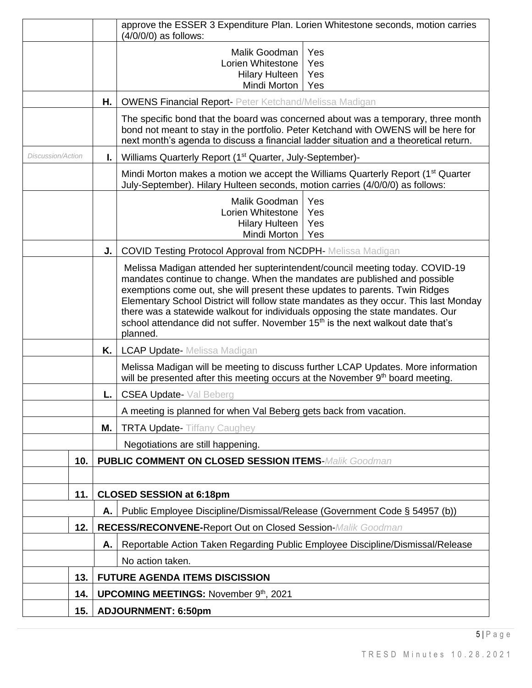|                   |     |                            | approve the ESSER 3 Expenditure Plan. Lorien Whitestone seconds, motion carries<br>(4/0/0/0) as follows:                                                                                                                                                                                                                                                                                                                                                                                                                       |  |  |  |
|-------------------|-----|----------------------------|--------------------------------------------------------------------------------------------------------------------------------------------------------------------------------------------------------------------------------------------------------------------------------------------------------------------------------------------------------------------------------------------------------------------------------------------------------------------------------------------------------------------------------|--|--|--|
|                   |     |                            | Malik Goodman<br>Yes<br>Lorien Whitestone<br>Yes<br><b>Hilary Hulteen</b><br>Yes<br>Mindi Morton<br>Yes                                                                                                                                                                                                                                                                                                                                                                                                                        |  |  |  |
|                   |     | Н.                         | <b>OWENS Financial Report- Peter Ketchand/Melissa Madigan</b>                                                                                                                                                                                                                                                                                                                                                                                                                                                                  |  |  |  |
|                   |     |                            | The specific bond that the board was concerned about was a temporary, three month<br>bond not meant to stay in the portfolio. Peter Ketchand with OWENS will be here for<br>next month's agenda to discuss a financial ladder situation and a theoretical return.                                                                                                                                                                                                                                                              |  |  |  |
| Discussion/Action |     | I.                         | Williams Quarterly Report (1 <sup>st</sup> Quarter, July-September)-                                                                                                                                                                                                                                                                                                                                                                                                                                                           |  |  |  |
|                   |     |                            | Mindi Morton makes a motion we accept the Williams Quarterly Report (1 <sup>st</sup> Quarter<br>July-September). Hilary Hulteen seconds, motion carries (4/0/0/0) as follows:                                                                                                                                                                                                                                                                                                                                                  |  |  |  |
|                   |     |                            | Malik Goodman<br>Yes<br>Lorien Whitestone<br>Yes<br><b>Hilary Hulteen</b><br>Yes<br>Mindi Morton<br>Yes                                                                                                                                                                                                                                                                                                                                                                                                                        |  |  |  |
|                   |     | J.                         | <b>COVID Testing Protocol Approval from NCDPH-</b> Melissa Madigan                                                                                                                                                                                                                                                                                                                                                                                                                                                             |  |  |  |
|                   |     |                            | Melissa Madigan attended her supterintendent/council meeting today. COVID-19<br>mandates continue to change. When the mandates are published and possible<br>exemptions come out, she will present these updates to parents. Twin Ridges<br>Elementary School District will follow state mandates as they occur. This last Monday<br>there was a statewide walkout for individuals opposing the state mandates. Our<br>school attendance did not suffer. November 15 <sup>th</sup> is the next walkout date that's<br>planned. |  |  |  |
|                   |     | K. I                       | <b>LCAP Update-</b> Melissa Madigan                                                                                                                                                                                                                                                                                                                                                                                                                                                                                            |  |  |  |
|                   |     |                            | Melissa Madigan will be meeting to discuss further LCAP Updates. More information<br>will be presented after this meeting occurs at the November 9 <sup>th</sup> board meeting.                                                                                                                                                                                                                                                                                                                                                |  |  |  |
|                   |     | L.                         | <b>CSEA Update-</b> Val Beberg                                                                                                                                                                                                                                                                                                                                                                                                                                                                                                 |  |  |  |
|                   |     |                            | A meeting is planned for when Val Beberg gets back from vacation.                                                                                                                                                                                                                                                                                                                                                                                                                                                              |  |  |  |
|                   |     | Μ.                         | <b>TRTA Update- Tiffany Caughey</b>                                                                                                                                                                                                                                                                                                                                                                                                                                                                                            |  |  |  |
|                   |     |                            | Negotiations are still happening.                                                                                                                                                                                                                                                                                                                                                                                                                                                                                              |  |  |  |
|                   | 10. |                            | <b>PUBLIC COMMENT ON CLOSED SESSION ITEMS-Malik Goodman</b>                                                                                                                                                                                                                                                                                                                                                                                                                                                                    |  |  |  |
|                   |     |                            |                                                                                                                                                                                                                                                                                                                                                                                                                                                                                                                                |  |  |  |
|                   | 11. |                            | <b>CLOSED SESSION at 6:18pm</b>                                                                                                                                                                                                                                                                                                                                                                                                                                                                                                |  |  |  |
|                   |     | Α.                         | Public Employee Discipline/Dismissal/Release (Government Code § 54957 (b))                                                                                                                                                                                                                                                                                                                                                                                                                                                     |  |  |  |
|                   | 12. |                            | RECESS/RECONVENE-Report Out on Closed Session-Malik Goodman                                                                                                                                                                                                                                                                                                                                                                                                                                                                    |  |  |  |
|                   |     | Α.                         | Reportable Action Taken Regarding Public Employee Discipline/Dismissal/Release                                                                                                                                                                                                                                                                                                                                                                                                                                                 |  |  |  |
|                   |     |                            | No action taken.                                                                                                                                                                                                                                                                                                                                                                                                                                                                                                               |  |  |  |
|                   | 13. |                            | <b>FUTURE AGENDA ITEMS DISCISSION</b>                                                                                                                                                                                                                                                                                                                                                                                                                                                                                          |  |  |  |
|                   | 14. |                            | <b>UPCOMING MEETINGS: November 9th, 2021</b>                                                                                                                                                                                                                                                                                                                                                                                                                                                                                   |  |  |  |
|                   | 15. | <b>ADJOURNMENT: 6:50pm</b> |                                                                                                                                                                                                                                                                                                                                                                                                                                                                                                                                |  |  |  |

5 | P a g e